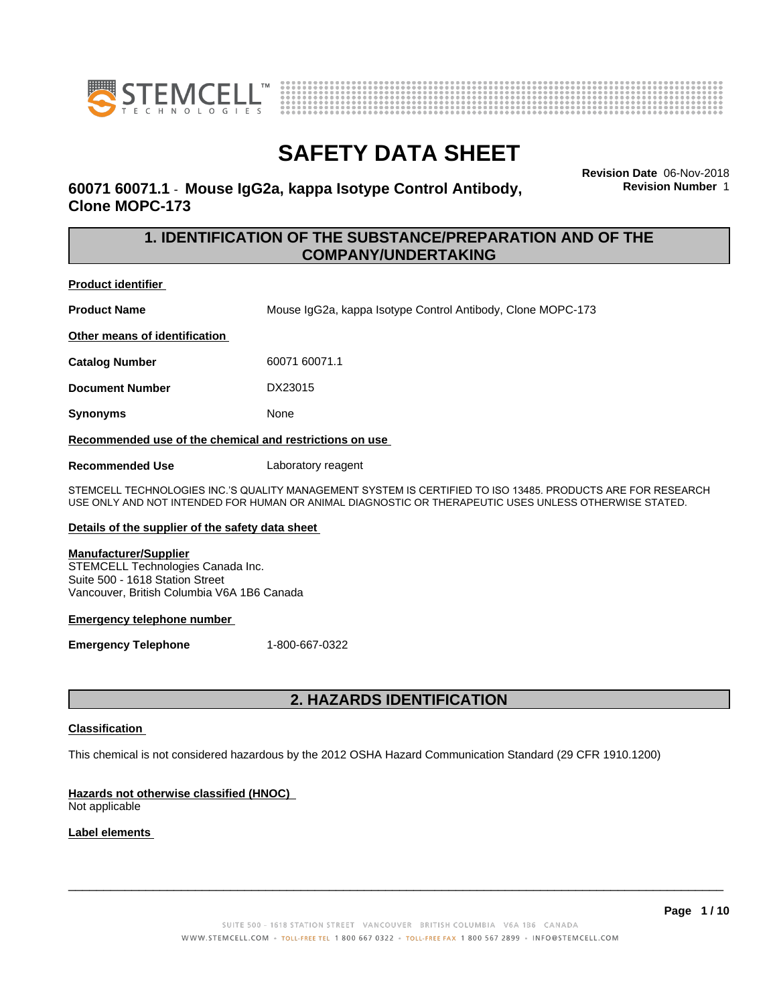



**Revision Date** 06-Nov-2018

**Revision Number** 1

## **SAFETY DATA SHEET**

**60071 60071.1** - **Mouse IgG2a, kappa Isotype Control Antibody, Clone MOPC-173**

> **1. IDENTIFICATION OF THE SUBSTANCE/PREPARATION AND OF THE COMPANY/UNDERTAKING**

**Product identifier**

**Product Name** Mouse IgG2a, kappa Isotype Control Antibody, Clone MOPC-173

**Other means of identification**

**Catalog Number** 60071 60071.1

**Document Number** DX23015

**Synonyms** None

**Recommended use of the chemical and restrictions on use**

**Recommended Use** Laboratory reagent

STEMCELL TECHNOLOGIES INC.'S QUALITY MANAGEMENT SYSTEM IS CERTIFIED TO ISO 13485. PRODUCTS ARE FOR RESEARCH USE ONLY AND NOT INTENDED FOR HUMAN OR ANIMAL DIAGNOSTIC OR THERAPEUTIC USES UNLESS OTHERWISE STATED.

### **Details of the supplier of the safety data sheet**

#### **Manufacturer/Supplier**

STEMCELL Technologies Canada Inc. Suite 500 - 1618 Station Street Vancouver, British Columbia V6A 1B6 Canada

#### **Emergency telephone number**

**Emergency Telephone** 1-800-667-0322

### **2. HAZARDS IDENTIFICATION**

### **Classification**

This chemical is not considered hazardous by the 2012 OSHA Hazard Communication Standard (29 CFR 1910.1200)

### **Hazards not otherwise classified (HNOC)**

Not applicable

### **Label elements**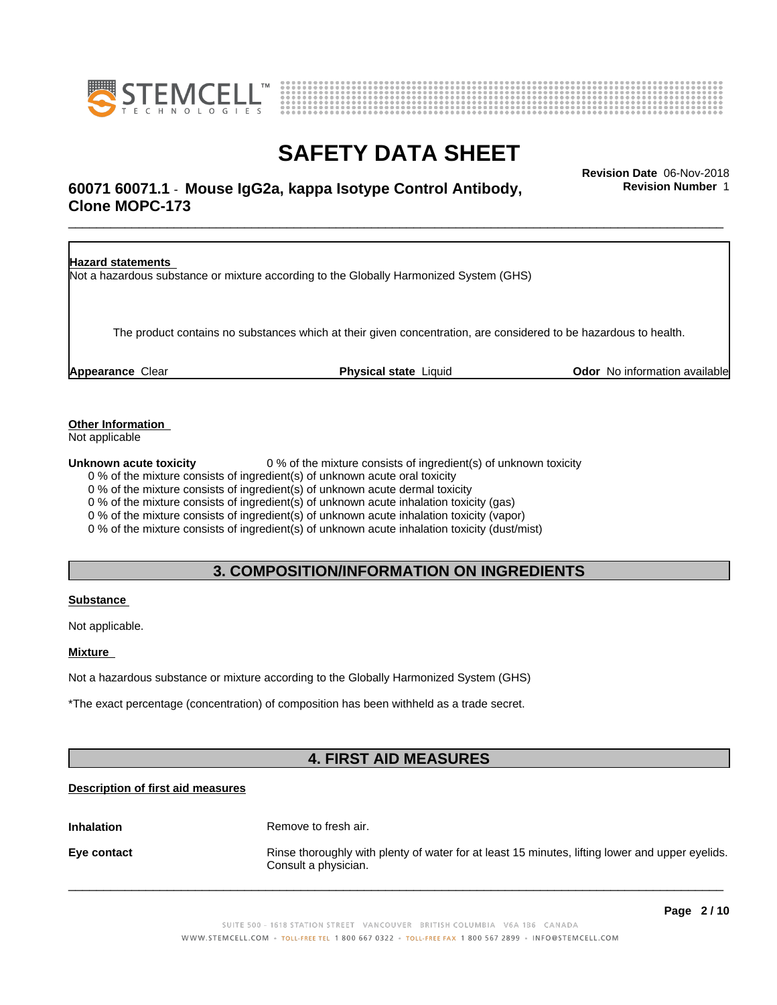



### \_\_\_\_\_\_\_\_\_\_\_\_\_\_\_\_\_\_\_\_\_\_\_\_\_\_\_\_\_\_\_\_\_\_\_\_\_\_\_\_\_\_\_\_\_\_\_\_\_\_\_\_\_\_\_\_\_\_\_\_\_\_\_\_\_\_\_\_\_\_\_\_\_\_\_\_\_\_\_\_\_\_\_\_\_\_\_\_\_\_\_\_\_ **Revision Date** 06-Nov-2018 **60071 60071.1** - **Mouse IgG2a, kappa Isotype Control Antibody, Clone MOPC-173**

**Revision Number** 1

| <b>Hazard statements</b> | Not a hazardous substance or mixture according to the Globally Harmonized System (GHS)                           |                                      |
|--------------------------|------------------------------------------------------------------------------------------------------------------|--------------------------------------|
|                          | The product contains no substances which at their given concentration, are considered to be hazardous to health. |                                      |
| <b>Appearance Clear</b>  | <b>Physical state Liquid</b>                                                                                     | <b>Odor</b> No information available |

**Other Information**

Not applicable

**Unknown acute toxicity** 0 % of the mixture consists of ingredient(s) of unknown toxicity

0 % of the mixture consists of ingredient(s) of unknown acute oral toxicity

0 % of the mixture consists of ingredient(s) of unknown acute dermal toxicity

0 % of the mixture consists of ingredient(s) of unknown acute inhalation toxicity (gas)

0 % of the mixture consists of ingredient(s) of unknown acute inhalation toxicity (vapor)

0 % of the mixture consists of ingredient(s) of unknown acute inhalation toxicity (dust/mist)

### **3. COMPOSITION/INFORMATION ON INGREDIENTS**

### **Substance**

Not applicable.

### **Mixture**

Not a hazardous substance or mixture according to the Globally Harmonized System (GHS)

\*The exact percentage (concentration) of composition has been withheld as a trade secret.

### **4. FIRST AID MEASURES**

### **Description of first aid measures**

**Inhalation** Remove to fresh air.

**Eye contact Rinse thoroughly with plenty of water for at least 15 minutes, lifting lower and upper eyelids.** Consult a physician.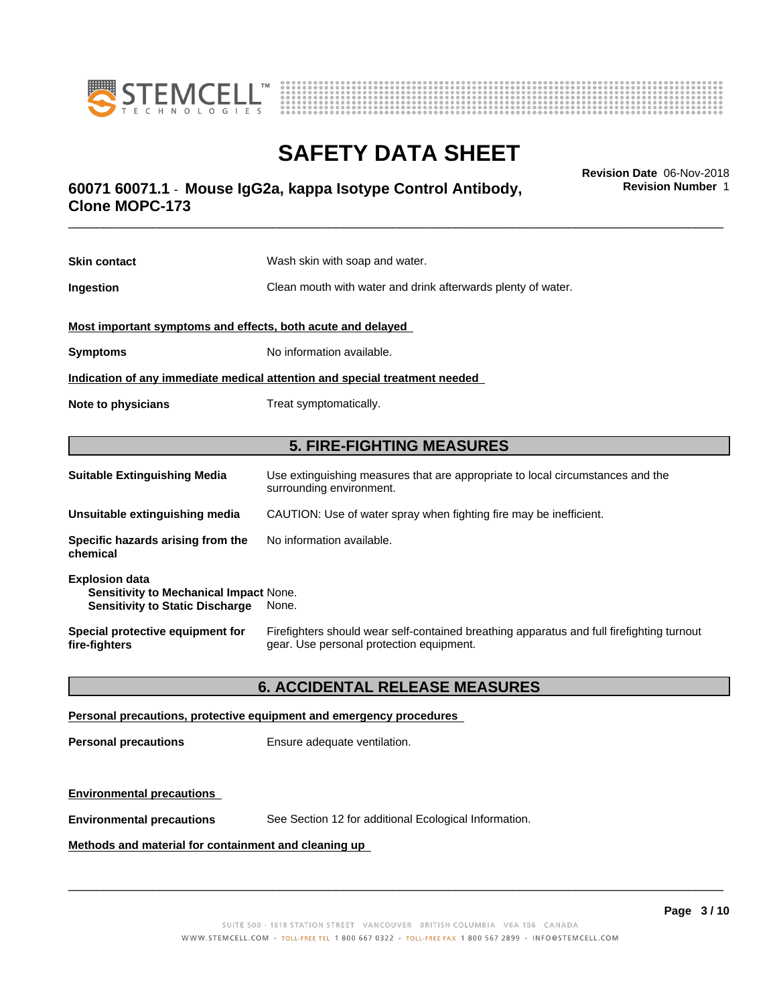



### \_\_\_\_\_\_\_\_\_\_\_\_\_\_\_\_\_\_\_\_\_\_\_\_\_\_\_\_\_\_\_\_\_\_\_\_\_\_\_\_\_\_\_\_\_\_\_\_\_\_\_\_\_\_\_\_\_\_\_\_\_\_\_\_\_\_\_\_\_\_\_\_\_\_\_\_\_\_\_\_\_\_\_\_\_\_\_\_\_\_\_\_\_ **Revision Date** 06-Nov-2018 **60071 60071.1** - **Mouse IgG2a, kappa Isotype Control Antibody, Clone MOPC-173**

**Skin contact** Wash skin with soap and water. **Ingestion Ingestion Clean mouth with water and drink afterwards plenty of water. Most important symptoms and effects, both acute and delayed Symptoms** No information available. **Indication of any immediate medical attention and special treatment needed Note to physicians** Treat symptomatically. **5. FIRE-FIGHTING MEASURES Suitable Extinguishing Media** Use extinguishing measures that are appropriate to local circumstances and the surrounding environment. **Unsuitable extinguishing media** CAUTION: Use of water spray when fighting fire may be inefficient. **Specific hazards arising from the chemical** No information available.

| <b>Explosion data</b><br><b>Sensitivity to Mechanical Impact None.</b><br><b>Sensitivity to Static Discharge</b> | None.                                                                                     |
|------------------------------------------------------------------------------------------------------------------|-------------------------------------------------------------------------------------------|
| Special protective equipment for                                                                                 | Firefighters should wear self-contained breathing apparatus and full firefighting turnout |
| fire-fighters                                                                                                    | gear. Use personal protection equipment.                                                  |

### **6. ACCIDENTAL RELEASE MEASURES**

#### **Personal precautions, protective equipment and emergency procedures**

**Personal precautions** Ensure adequate ventilation.

### **Environmental precautions**

**Environmental precautions** See Section 12 for additional Ecological Information.

#### **Methods and material for containment and cleaning up**

 $\overline{\phantom{a}}$  ,  $\overline{\phantom{a}}$  ,  $\overline{\phantom{a}}$  ,  $\overline{\phantom{a}}$  ,  $\overline{\phantom{a}}$  ,  $\overline{\phantom{a}}$  ,  $\overline{\phantom{a}}$  ,  $\overline{\phantom{a}}$  ,  $\overline{\phantom{a}}$  ,  $\overline{\phantom{a}}$  ,  $\overline{\phantom{a}}$  ,  $\overline{\phantom{a}}$  ,  $\overline{\phantom{a}}$  ,  $\overline{\phantom{a}}$  ,  $\overline{\phantom{a}}$  ,  $\overline{\phantom{a}}$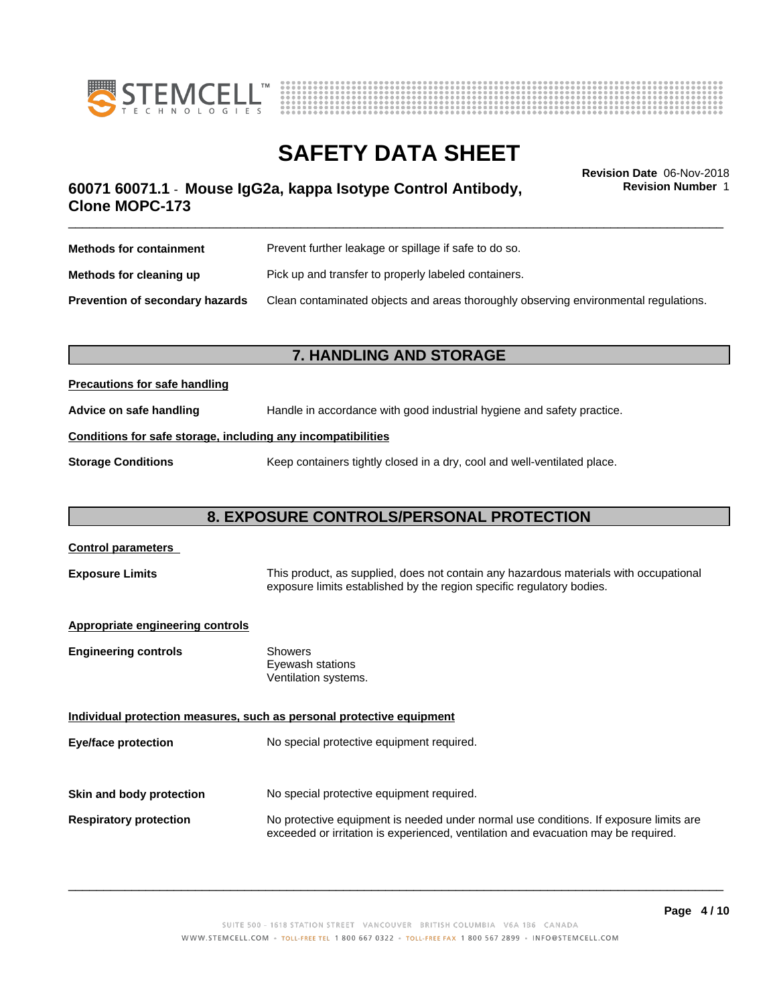



\_\_\_\_\_\_\_\_\_\_\_\_\_\_\_\_\_\_\_\_\_\_\_\_\_\_\_\_\_\_\_\_\_\_\_\_\_\_\_\_\_\_\_\_\_\_\_\_\_\_\_\_\_\_\_\_\_\_\_\_\_\_\_\_\_\_\_\_\_\_\_\_\_\_\_\_\_\_\_\_\_\_\_\_\_\_\_\_\_\_\_\_\_ **Revision Date** 06-Nov-2018 **60071 60071.1** - **Mouse IgG2a, kappa Isotype Control Antibody, Clone MOPC-173**

**Revision Number** 1

| <b>Methods for containment</b>         | Prevent further leakage or spillage if safe to do so.                                |  |
|----------------------------------------|--------------------------------------------------------------------------------------|--|
| Methods for cleaning up                | Pick up and transfer to properly labeled containers.                                 |  |
| <b>Prevention of secondary hazards</b> | Clean contaminated objects and areas thoroughly observing environmental regulations. |  |

### **7. HANDLING AND STORAGE**

### **Precautions for safe handling**

**Advice on safe handling** Handle in accordance with good industrial hygiene and safety practice.

### **Conditions for safe storage, including any incompatibilities**

**Storage Conditions** Keep containers tightly closed in a dry, cool and well-ventilated place.

### **8. EXPOSURE CONTROLS/PERSONAL PROTECTION**

| <b>Control parameters</b>        |                                                                                                                                                                             |
|----------------------------------|-----------------------------------------------------------------------------------------------------------------------------------------------------------------------------|
| <b>Exposure Limits</b>           | This product, as supplied, does not contain any hazardous materials with occupational<br>exposure limits established by the region specific regulatory bodies.              |
| Appropriate engineering controls |                                                                                                                                                                             |
| <b>Engineering controls</b>      | <b>Showers</b><br>Eyewash stations<br>Ventilation systems.                                                                                                                  |
|                                  | Individual protection measures, such as personal protective equipment                                                                                                       |
| <b>Eye/face protection</b>       | No special protective equipment required.                                                                                                                                   |
|                                  |                                                                                                                                                                             |
| Skin and body protection         | No special protective equipment required.                                                                                                                                   |
| <b>Respiratory protection</b>    | No protective equipment is needed under normal use conditions. If exposure limits are<br>exceeded or irritation is experienced, ventilation and evacuation may be required. |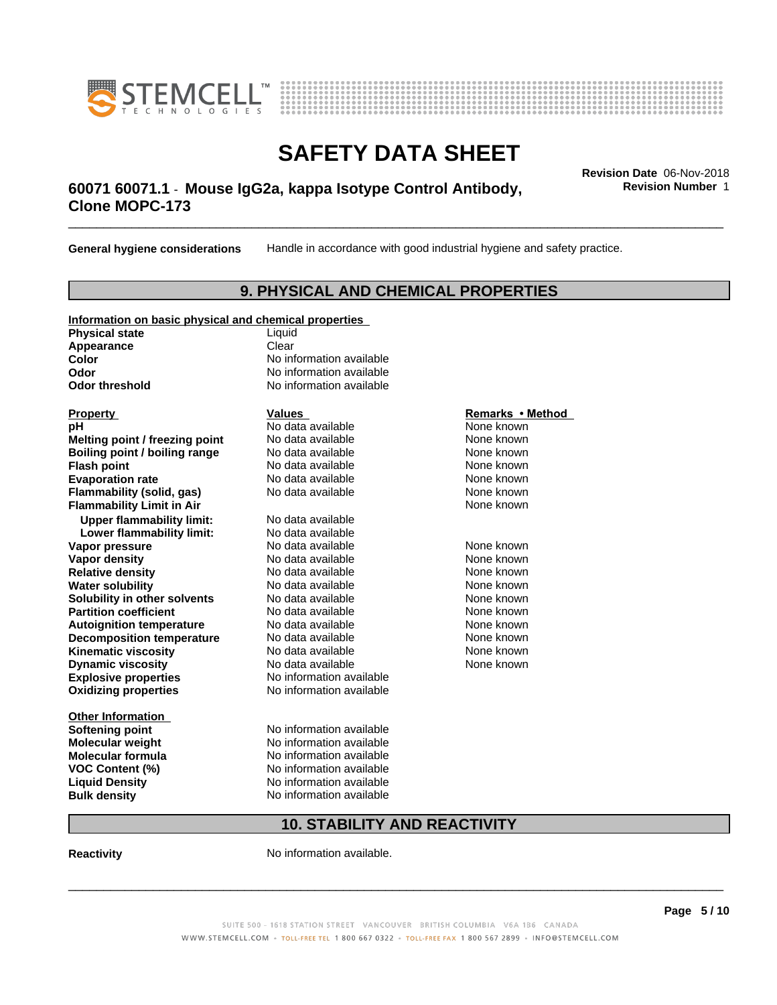



### \_\_\_\_\_\_\_\_\_\_\_\_\_\_\_\_\_\_\_\_\_\_\_\_\_\_\_\_\_\_\_\_\_\_\_\_\_\_\_\_\_\_\_\_\_\_\_\_\_\_\_\_\_\_\_\_\_\_\_\_\_\_\_\_\_\_\_\_\_\_\_\_\_\_\_\_\_\_\_\_\_\_\_\_\_\_\_\_\_\_\_\_\_ **Revision Date** 06-Nov-2018 **60071 60071.1** - **Mouse IgG2a, kappa Isotype Control Antibody, Clone MOPC-173**

**General hygiene considerations** Handle in accordance with good industrial hygiene and safety practice.

### **9. PHYSICAL AND CHEMICAL PROPERTIES**

### **Information on basic physical and chemical properties Physical state** Liquid **Appearance** Clear<br> **Color** No inf

#### **Explosive properties**<br> **Oxidizing properties**<br>
No information available **Oxidizing properties Property Remarks •Method Property Remarks •Method pH** No data available None known<br> **Melting point / freezing point** No data available None known **Melting point / freezing point** No data available None known<br> **Boiling point / boiling range** No data available None known **Boiling point / boiling range Flash point No data available None known Evaporation rate Cone Cone Access Mode to Access 10 and 7 and 7 and 7 and 7 and 7 and 7 and 7 and 7 and 7 and 7 and 7 and 7 and 7 and 7 and 7 and 7 and 7 and 7 and 7 and 7 and 7 and 7 and 7 and 7 and 7 and 7 and 7 and 7 Flammability (solid, gas)** No data available None known **Flammability Limit in Air None known None known Upper flammability limit:** No data available **Lower flammability limit:** No data available **Vapor pressure No data available None known Vapor density**<br> **Relative density**<br>
No data available None Known<br>
None known **Relative density No data available and the Shown None known**<br> **Water solubility No data available None known None known Water solubility Solubility in other solvents** No data available **None known**<br> **Partition coefficient** No data available None known<br>
None known **Partition coefficient**<br> **Autoignition temperature**<br>
No data available None Known<br>
None known **Autoignition temperature No data available None known**<br> **Decomposition temperature** No data available **None known**<br>
None known **Decomposition temperature** No data available<br> **Kinematic viscosity** No data available **Kinematic viscosity No data available None known**<br> **Notata available None known**<br>
Notata available **None known Dynamic viscosity No data available None known**

**Other Information VOC** Content (%)

**No information available Odor** No information available **Odor threshold** No information available

**Softening point** No information available **Molecular weight** No information available **Molecular formula No information available**<br>**VOC Content (%)** No information available **Liquid Density** No information available **Bulk density** No information available

### **10. STABILITY AND REACTIVITY**

**Reactivity No information available.** 

 $\overline{\phantom{a}}$  ,  $\overline{\phantom{a}}$  ,  $\overline{\phantom{a}}$  ,  $\overline{\phantom{a}}$  ,  $\overline{\phantom{a}}$  ,  $\overline{\phantom{a}}$  ,  $\overline{\phantom{a}}$  ,  $\overline{\phantom{a}}$  ,  $\overline{\phantom{a}}$  ,  $\overline{\phantom{a}}$  ,  $\overline{\phantom{a}}$  ,  $\overline{\phantom{a}}$  ,  $\overline{\phantom{a}}$  ,  $\overline{\phantom{a}}$  ,  $\overline{\phantom{a}}$  ,  $\overline{\phantom{a}}$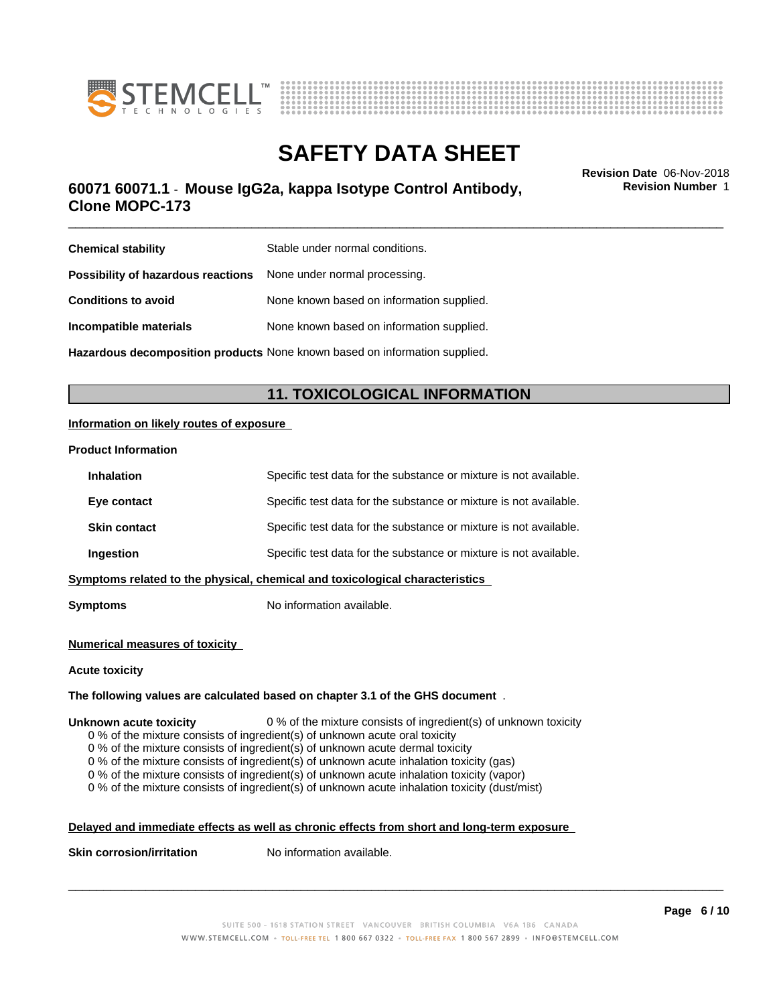



### \_\_\_\_\_\_\_\_\_\_\_\_\_\_\_\_\_\_\_\_\_\_\_\_\_\_\_\_\_\_\_\_\_\_\_\_\_\_\_\_\_\_\_\_\_\_\_\_\_\_\_\_\_\_\_\_\_\_\_\_\_\_\_\_\_\_\_\_\_\_\_\_\_\_\_\_\_\_\_\_\_\_\_\_\_\_\_\_\_\_\_\_\_ **Revision Date** 06-Nov-2018 **60071 60071.1** - **Mouse IgG2a, kappa Isotype Control Antibody, Clone MOPC-173**

**Chemical stability** Stable under normal conditions. **Possibility of hazardous reactions** None under normal processing. **Conditions to avoid** None known based on information supplied. **Incompatible materials** None known based on information supplied.

**Hazardous decomposition products** None known based on information supplied.

### **11. TOXICOLOGICAL INFORMATION**

### **Information on likely routes of exposure**

#### **Product Information**

| <b>Inhalation</b>   | Specific test data for the substance or mixture is not available.            |
|---------------------|------------------------------------------------------------------------------|
| Eye contact         | Specific test data for the substance or mixture is not available.            |
| <b>Skin contact</b> | Specific test data for the substance or mixture is not available.            |
| Ingestion           | Specific test data for the substance or mixture is not available.            |
|                     | Symptoms related to the physical, chemical and toxicological characteristics |
|                     |                                                                              |

**Symptoms** No information available.

#### **Numerical measures of toxicity**

#### **Acute toxicity**

### **The following values are calculated based on chapter 3.1 of the GHS document** .

#### **Unknown acute toxicity** 0 % of the mixture consists of ingredient(s) of unknown toxicity

0 % of the mixture consists of ingredient(s) of unknown acute oral toxicity

0 % of the mixture consists of ingredient(s) of unknown acute dermal toxicity

0 % of the mixture consists of ingredient(s) of unknown acute inhalation toxicity (gas)

0 % of the mixture consists of ingredient(s) of unknown acute inhalation toxicity (vapor)

0 % of the mixture consists of ingredient(s) of unknown acute inhalation toxicity (dust/mist)

### **Delayed and immediate effects as well as chronic effects from short and long-term exposure**

**Skin corrosion/irritation** No information available.

 $\overline{\phantom{a}}$  ,  $\overline{\phantom{a}}$  ,  $\overline{\phantom{a}}$  ,  $\overline{\phantom{a}}$  ,  $\overline{\phantom{a}}$  ,  $\overline{\phantom{a}}$  ,  $\overline{\phantom{a}}$  ,  $\overline{\phantom{a}}$  ,  $\overline{\phantom{a}}$  ,  $\overline{\phantom{a}}$  ,  $\overline{\phantom{a}}$  ,  $\overline{\phantom{a}}$  ,  $\overline{\phantom{a}}$  ,  $\overline{\phantom{a}}$  ,  $\overline{\phantom{a}}$  ,  $\overline{\phantom{a}}$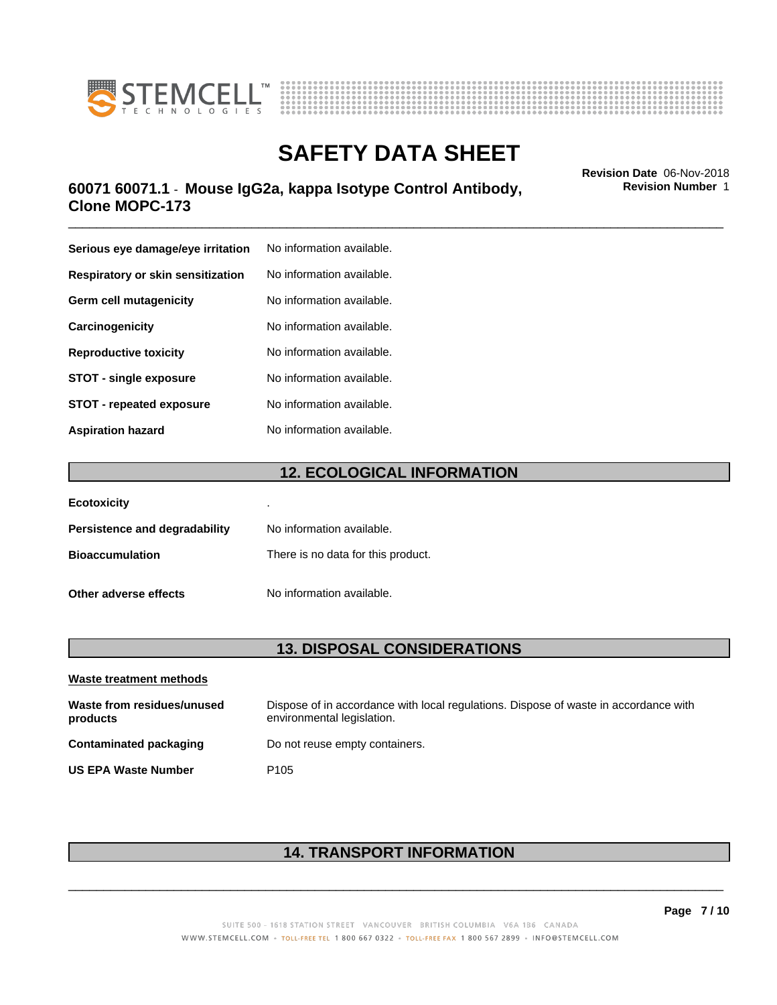



### \_\_\_\_\_\_\_\_\_\_\_\_\_\_\_\_\_\_\_\_\_\_\_\_\_\_\_\_\_\_\_\_\_\_\_\_\_\_\_\_\_\_\_\_\_\_\_\_\_\_\_\_\_\_\_\_\_\_\_\_\_\_\_\_\_\_\_\_\_\_\_\_\_\_\_\_\_\_\_\_\_\_\_\_\_\_\_\_\_\_\_\_\_ **Revision Date** 06-Nov-2018 **60071 60071.1** - **Mouse IgG2a, kappa Isotype Control Antibody, Clone MOPC-173**

| Serious eye damage/eye irritation | No information available. |
|-----------------------------------|---------------------------|
| Respiratory or skin sensitization | No information available. |
| Germ cell mutagenicity            | No information available. |
| Carcinogenicity                   | No information available. |
| <b>Reproductive toxicity</b>      | No information available. |
| <b>STOT - single exposure</b>     | No information available. |
| <b>STOT - repeated exposure</b>   | No information available. |
| <b>Aspiration hazard</b>          | No information available. |

### **12. ECOLOGICAL INFORMATION**

| <b>Ecotoxicity</b>            | ٠                                  |
|-------------------------------|------------------------------------|
| Persistence and degradability | No information available.          |
| <b>Bioaccumulation</b>        | There is no data for this product. |
| Other adverse effects         | No information available.          |

### **13. DISPOSAL CONSIDERATIONS**

| Waste treatment methods                |                                                                                                                    |
|----------------------------------------|--------------------------------------------------------------------------------------------------------------------|
| Waste from residues/unused<br>products | Dispose of in accordance with local regulations. Dispose of waste in accordance with<br>environmental legislation. |
| Contaminated packaging                 | Do not reuse empty containers.                                                                                     |
| <b>US EPA Waste Number</b>             | P <sub>105</sub>                                                                                                   |

### **14. TRANSPORT INFORMATION**

 $\overline{\phantom{a}}$  ,  $\overline{\phantom{a}}$  ,  $\overline{\phantom{a}}$  ,  $\overline{\phantom{a}}$  ,  $\overline{\phantom{a}}$  ,  $\overline{\phantom{a}}$  ,  $\overline{\phantom{a}}$  ,  $\overline{\phantom{a}}$  ,  $\overline{\phantom{a}}$  ,  $\overline{\phantom{a}}$  ,  $\overline{\phantom{a}}$  ,  $\overline{\phantom{a}}$  ,  $\overline{\phantom{a}}$  ,  $\overline{\phantom{a}}$  ,  $\overline{\phantom{a}}$  ,  $\overline{\phantom{a}}$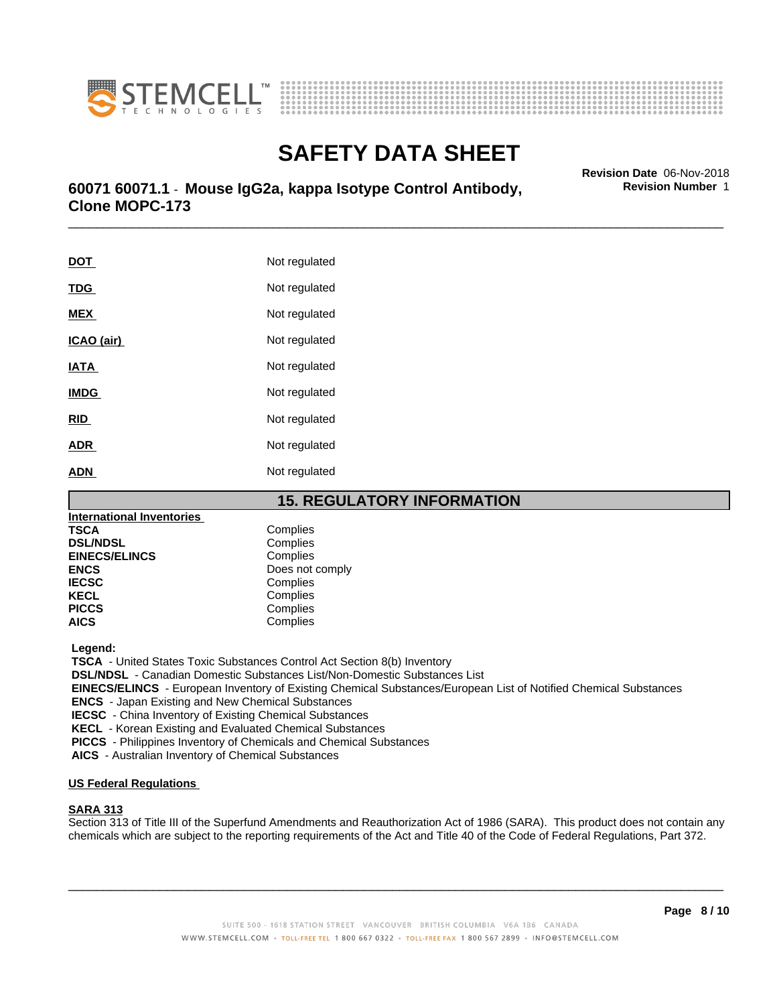



# **SAFETY DATA SHEET**<br>Revision Date 06-Nov-2018

### \_\_\_\_\_\_\_\_\_\_\_\_\_\_\_\_\_\_\_\_\_\_\_\_\_\_\_\_\_\_\_\_\_\_\_\_\_\_\_\_\_\_\_\_\_\_\_\_\_\_\_\_\_\_\_\_\_\_\_\_\_\_\_\_\_\_\_\_\_\_\_\_\_\_\_\_\_\_\_\_\_\_\_\_\_\_\_\_\_\_\_\_\_ **Revision Date** 06-Nov-2018 **60071 60071.1** - **Mouse IgG2a, kappa Isotype Control Antibody, Clone MOPC-173**

**DOT** Not regulated **TDG** Not regulated **MEX** Not regulated **ICAO** (air) Not regulated **IATA** Not regulated **IMDG** Not regulated **RID** Not regulated **ADR** Not regulated **ADN** Not regulated

### **15. REGULATORY INFORMATION**

| <b>International Inventories</b> |                 |
|----------------------------------|-----------------|
| TSCA                             | Complies        |
| <b>DSL/NDSL</b>                  | Complies        |
| <b>EINECS/ELINCS</b>             | Complies        |
| <b>ENCS</b>                      | Does not comply |
| <b>IECSC</b>                     | Complies        |
| <b>KECL</b>                      | Complies        |
| <b>PICCS</b>                     | Complies        |
| AICS                             | Complies        |
|                                  |                 |

 **Legend:**

 **TSCA** - United States Toxic Substances Control Act Section 8(b) Inventory

 **DSL/NDSL** - Canadian Domestic Substances List/Non-Domestic Substances List

 **EINECS/ELINCS** - European Inventory of Existing Chemical Substances/European List of Notified Chemical Substances

 **ENCS** - Japan Existing and New Chemical Substances

 **IECSC** - China Inventory of Existing Chemical Substances

 **KECL** - Korean Existing and Evaluated Chemical Substances

 **PICCS** - Philippines Inventory of Chemicals and Chemical Substances

 **AICS** - Australian Inventory of Chemical Substances

### **US Federal Regulations**

### **SARA 313**

Section 313 of Title III of the Superfund Amendments and Reauthorization Act of 1986 (SARA). This product does not contain any chemicals which are subject to the reporting requirements of the Act and Title 40 of the Code of Federal Regulations, Part 372.

 $\overline{\phantom{a}}$  ,  $\overline{\phantom{a}}$  ,  $\overline{\phantom{a}}$  ,  $\overline{\phantom{a}}$  ,  $\overline{\phantom{a}}$  ,  $\overline{\phantom{a}}$  ,  $\overline{\phantom{a}}$  ,  $\overline{\phantom{a}}$  ,  $\overline{\phantom{a}}$  ,  $\overline{\phantom{a}}$  ,  $\overline{\phantom{a}}$  ,  $\overline{\phantom{a}}$  ,  $\overline{\phantom{a}}$  ,  $\overline{\phantom{a}}$  ,  $\overline{\phantom{a}}$  ,  $\overline{\phantom{a}}$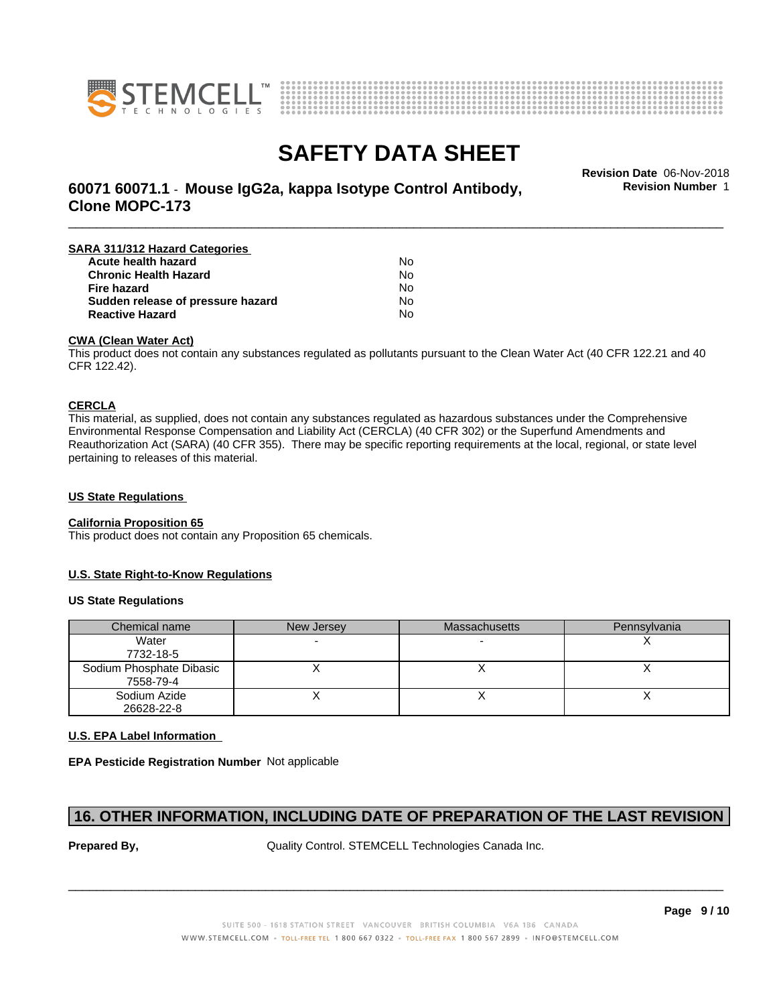



# **SAFETY DATA SHEET**<br>Revision Date 06-Nov-2018

**Revision Number** 1

### \_\_\_\_\_\_\_\_\_\_\_\_\_\_\_\_\_\_\_\_\_\_\_\_\_\_\_\_\_\_\_\_\_\_\_\_\_\_\_\_\_\_\_\_\_\_\_\_\_\_\_\_\_\_\_\_\_\_\_\_\_\_\_\_\_\_\_\_\_\_\_\_\_\_\_\_\_\_\_\_\_\_\_\_\_\_\_\_\_\_\_\_\_ **Revision Date** 06-Nov-2018 **60071 60071.1** - **Mouse IgG2a, kappa Isotype Control Antibody, Clone MOPC-173**

| SARA 311/312 Hazard Categories    |    |  |
|-----------------------------------|----|--|
| Acute health hazard               | Nο |  |
| <b>Chronic Health Hazard</b>      | No |  |
| <b>Fire hazard</b>                | No |  |
| Sudden release of pressure hazard | N٥ |  |
| <b>Reactive Hazard</b>            | N٥ |  |

#### **CWA (Clean WaterAct)**

This product does not contain any substances regulated as pollutants pursuant to the Clean Water Act (40 CFR 122.21 and 40 CFR 122.42).

#### **CERCLA**

This material, as supplied, does not contain any substances regulated as hazardous substances under the Comprehensive Environmental Response Compensation and Liability Act (CERCLA) (40 CFR 302) or the Superfund Amendments and Reauthorization Act (SARA) (40 CFR 355). There may be specific reporting requirements at the local, regional, or state level pertaining to releases of this material.

### **US State Regulations**

#### **California Proposition 65**

This product does not contain any Proposition 65 chemicals.

### **U.S. State Right-to-Know Regulations**

#### **US State Regulations**

| Chemical name                         | New Jersey | <b>Massachusetts</b> | Pennsylvania |
|---------------------------------------|------------|----------------------|--------------|
| Water<br>7732-18-5                    |            |                      |              |
| Sodium Phosphate Dibasic<br>7558-79-4 |            |                      |              |
| Sodium Azide<br>26628-22-8            |            |                      |              |

### **U.S. EPA Label Information**

**EPA Pesticide Registration Number** Not applicable

### **16. OTHER INFORMATION, INCLUDING DATE OF PREPARATION OF THE LAST REVISION**

**Prepared By, State Control. STEMCELL Technologies Canada Inc.**